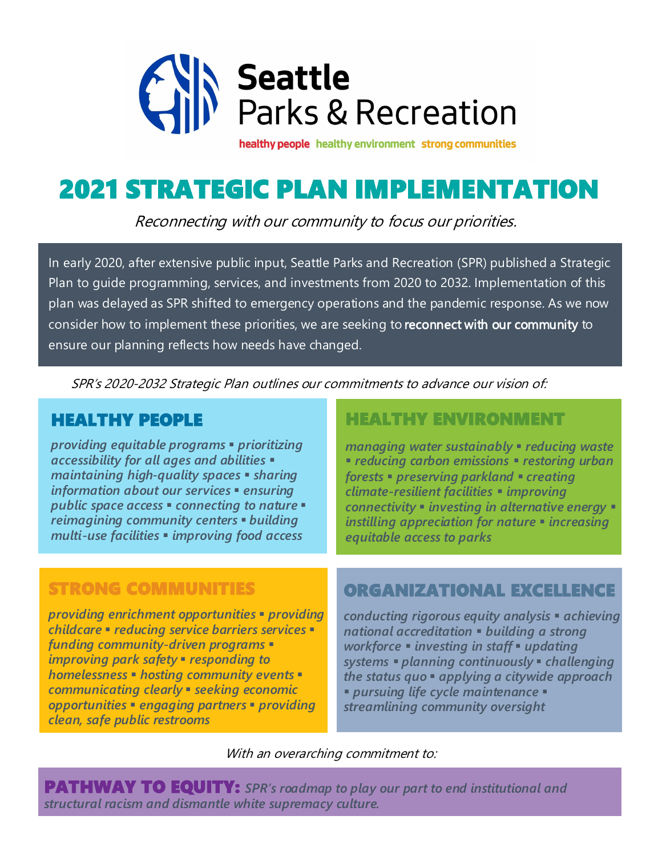

healthy people healthy environment strong communities

# 2021 STRATEGIC PLAN IMPLEMENTATION

Reconnecting with our community to focus our priorities.

In early 2020, after extensive public input, Seattle Parks and Recreation (SPR) published a Strategic Plan to guide programming, services, and investments from 2020 to 2032. Implementation of this plan was delayed as SPR shifted to emergency operations and the pandemic response. As we now consider how to implement these priorities, we are seeking to reconnect with our community to ensure our planning reflects how needs have changed.

SPR's 2020-2032 Strategic Plan outlines our commitments to advance our vision of:

#### HEALTHY PEOPLE

*providing equitable programs* ▪ *prioritizing accessibility for all ages and abilities* ▪ *maintaining high-quality spaces* ▪ *sharing information about our services* ▪ *ensuring public space access* ▪ *connecting to nature* ▪ *reimagining community centers* ▪ *building multi-use facilities* ▪ *improving food access*

### STRONG COMMUNITIES

*providing enrichment opportunities* ▪ *providing childcare* ▪ *reducing service barriers services* ▪ *funding community-driven programs* ▪ *improving park safety* ▪ *responding to homelessness* ▪ *hosting community events* ▪ *communicating clearly* ▪ *seeking economic opportunities* ▪ *engaging partners* ▪ *providing clean, safe public restrooms*

### HEALTHY ENVIRONMENT

*managing water sustainably* ▪ *reducing waste*  ▪ *reducing carbon emissions* ▪ *restoring urban forests* ▪ *preserving parkland* ▪ *creating climate-resilient facilities* ▪ *improving connectivity* ▪ *investing in alternative energy* ▪ *instilling appreciation for nature* ▪ *increasing equitable access to parks*

### ORGANIZATIONAL EXCELLENCE

*conducting rigorous equity analysis* ▪ *achieving national accreditation* ▪ *building a strong workforce* ▪ *investing in staff* ▪ *updating systems* ▪ *planning continuously* ▪ *challenging the status quo* ▪ *applying a citywide approach*  ▪ *pursuing life cycle maintenance* ▪ *streamlining community oversight* 

With an overarching commitment to:

PATHWAY TO EQUITY: *SPR's roadmap to play our part to end institutional and structural racism and dismantle white supremacy culture.*